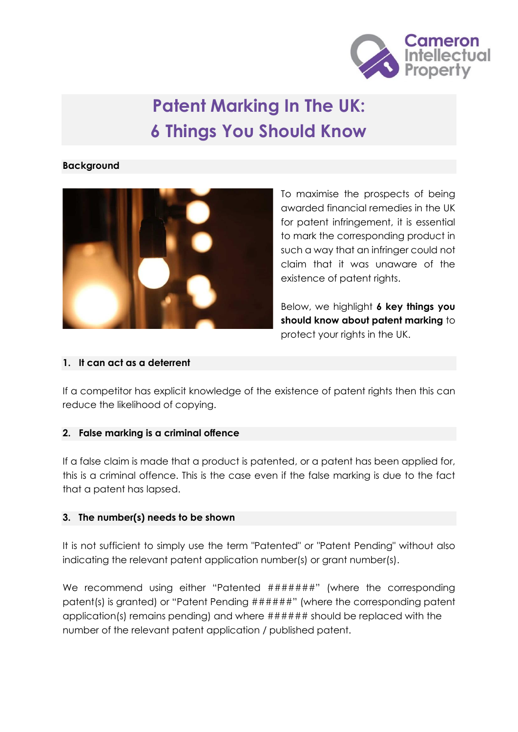

# **Patent Marking In The UK: 6 Things You Should Know**

#### **Background**



To maximise the prospects of being awarded financial remedies in the UK for patent infringement, it is essential to mark the corresponding product in such a way that an infringer could not claim that it was unaware of the existence of patent rights.

Below, we highlight **6 key things you should know about patent marking** to protect your rights in the UK.

#### **1. It can act as a deterrent**

If a competitor has explicit knowledge of the existence of patent rights then this can reduce the likelihood of copying.

## **2. False marking is a criminal offence**

If a false claim is made that a product is patented, or a patent has been applied for, this is a criminal offence. This is the case even if the false marking is due to the fact that a patent has lapsed.

## **3. The number(s) needs to be shown**

It is not sufficient to simply use the term "Patented" or "Patent Pending" without also indicating the relevant patent application number(s) or grant number(s).

We recommend using either "Patented ########" (where the corresponding patent(s) is granted) or "Patent Pending ######" (where the corresponding patent application(s) remains pending) and where ###### should be replaced with the number of the relevant patent application / published patent.